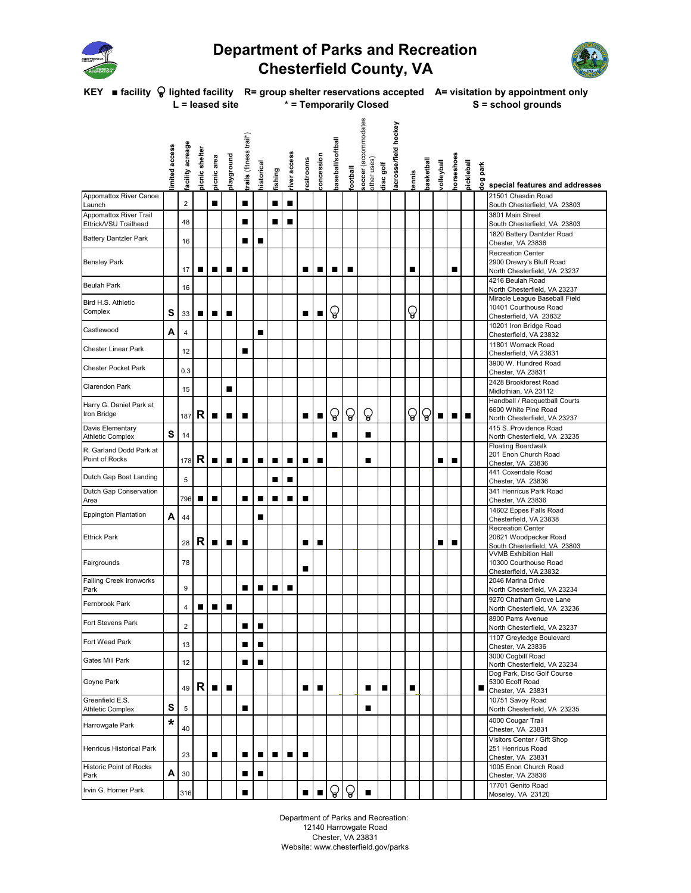

## **Department of Parks and Recreation Chesterfield County, VA**



**KEY ■ facility lighted facility R= group shelter reservations accepted A= visitation by appointment only** L = leased site \* = Temporarily Closed S = school grounds

|                                                 | imited access | facility acreage        | picnic shelter | picnic area | playground | trails (fitness trail*) | historical | fishing        | river access   | restrooms | concession     | baseball/softball | ledball      | soccer (accommodates<br>other uses) | disc golf | acrosse/field hockey | tennis | basketball | llsdyball | horseshoes | pickleball | park<br>dog | special features and addresses                                                        |
|-------------------------------------------------|---------------|-------------------------|----------------|-------------|------------|-------------------------|------------|----------------|----------------|-----------|----------------|-------------------|--------------|-------------------------------------|-----------|----------------------|--------|------------|-----------|------------|------------|-------------|---------------------------------------------------------------------------------------|
| <b>Appomattox River Canoe</b><br>Launch         |               | $\overline{c}$          |                | ■           |            | п                       |            | п              | п              |           |                |                   |              |                                     |           |                      |        |            |           |            |            |             | 21501 Chesdin Road<br>South Chesterfield, VA 23803                                    |
| Appomattox River Trail<br>Ettrick/VSU Trailhead |               | 48                      |                |             |            |                         |            | ■              | ■              |           |                |                   |              |                                     |           |                      |        |            |           |            |            |             | 3801 Main Street<br>South Chesterfield, VA 23803                                      |
| <b>Battery Dantzler Park</b>                    |               | 16                      |                |             |            | ■                       | ■          |                |                |           |                |                   |              |                                     |           |                      |        |            |           |            |            |             | 1820 Battery Dantzler Road<br>Chester, VA 23836                                       |
| <b>Bensley Park</b>                             |               | 17                      | ▪              | ■           | п          | ■                       |            |                |                | ■         | ■              | ■                 | ■            |                                     |           |                      | ■      |            |           | ■          |            |             | <b>Recreation Center</b><br>2900 Drewry's Bluff Road<br>North Chesterfield, VA 23237  |
| <b>Beulah Park</b>                              |               | 16                      |                |             |            |                         |            |                |                |           |                |                   |              |                                     |           |                      |        |            |           |            |            |             | 4216 Beulah Road<br>North Chesterfield, VA 23237                                      |
| Bird H.S. Athletic<br>Complex                   | S             | 33                      | п              | п           | п          |                         |            |                |                | ■         | п              | ្ធ                |              |                                     |           |                      | ្ធ     |            |           |            |            |             | Miracle League Baseball Field<br>10401 Courthouse Road<br>Chesterfield, VA 23832      |
| Castlewood                                      | А             | 4                       |                |             |            |                         | ■          |                |                |           |                |                   |              |                                     |           |                      |        |            |           |            |            |             | 10201 Iron Bridge Road<br>Chesterfield, VA 23832                                      |
| <b>Chester Linear Park</b>                      |               | 12                      |                |             |            | ■                       |            |                |                |           |                |                   |              |                                     |           |                      |        |            |           |            |            |             | 11801 Womack Road<br>Chesterfield, VA 23831                                           |
| <b>Chester Pocket Park</b>                      |               | 0.3                     |                |             |            |                         |            |                |                |           |                |                   |              |                                     |           |                      |        |            |           |            |            |             | 3900 W. Hundred Road<br>Chester, VA 23831                                             |
| <b>Clarendon Park</b>                           |               | 15                      |                |             | п          |                         |            |                |                |           |                |                   |              |                                     |           |                      |        |            |           |            |            |             | 2428 Brookforest Road<br>Midlothian, VA 23112                                         |
| Harry G. Daniel Park at<br>Iron Bridge          |               | 187                     | R              | ■           | П          | П                       |            |                |                | ■         | ■              | ្រូ               | ନ୍ତ          | ନ୍ତ                                 |           |                      | ្រូ    | ្រូ        | п         | ■          | п          |             | Handball / Racquetball Courts<br>6600 White Pine Road<br>North Chesterfield, VA 23237 |
| Davis Elementary<br><b>Athletic Complex</b>     | S             | 14                      |                |             |            |                         |            |                |                |           |                |                   |              |                                     |           |                      |        |            |           |            |            |             | 415 S. Providence Road<br>North Chesterfield, VA 23235                                |
| R. Garland Dodd Park at<br>Point of Rocks       |               | 178                     | R              | п           | п          | ■                       | п          | п              | п              | ■         | ■              |                   |              | ■                                   |           |                      |        |            | ■         | ■          |            |             | <b>Floating Boardwalk</b><br>201 Enon Church Road<br>Chester, VA 23836                |
| Dutch Gap Boat Landing                          |               | 5                       |                |             |            |                         |            | ■              | п              |           |                |                   |              |                                     |           |                      |        |            |           |            |            |             | 441 Coxendale Road<br>Chester, VA 23836                                               |
| Dutch Gap Conservation<br>Area                  |               | 796                     | ■              | ■           |            | ■                       | ■          | ■              |                |           |                |                   |              |                                     |           |                      |        |            |           |            |            |             | 341 Henricus Park Road<br>Chester, VA 23836                                           |
| <b>Eppington Plantation</b>                     | А             | 44                      |                |             |            |                         | п          |                |                |           |                |                   |              |                                     |           |                      |        |            |           |            |            |             | 14602 Eppes Falls Road<br>Chesterfield, VA 23838                                      |
| <b>Ettrick Park</b>                             |               | 28                      | $\mathsf{R}$   | п           | п          | ■                       |            |                |                | ■         | ■              |                   |              |                                     |           |                      |        |            | ■         | ■          |            |             | <b>Recreation Center</b><br>20621 Woodpecker Road<br>South Chesterfield, VA 23803     |
| Fairgrounds                                     |               | 78                      |                |             |            |                         |            |                |                | ■         |                |                   |              |                                     |           |                      |        |            |           |            |            |             | <b>VVMB Exhibition Hall</b><br>10300 Courthouse Road<br>Chesterfield, VA 23832        |
| Falling Creek Ironworks<br>Park                 |               | 9                       |                |             |            |                         | ■          | $\blacksquare$ | $\blacksquare$ |           |                |                   |              |                                     |           |                      |        |            |           |            |            |             | 2046 Marina Drive<br>North Chesterfield, VA 23234                                     |
| Fernbrook Park                                  |               | 4                       | ■              | ■           | ■          |                         |            |                |                |           |                |                   |              |                                     |           |                      |        |            |           |            |            |             | 9270 Chatham Grove Lane<br>North Chesterfield, VA 23236                               |
| Fort Stevens Park                               |               | $\overline{\mathbf{c}}$ |                |             |            | ш                       | ■          |                |                |           |                |                   |              |                                     |           |                      |        |            |           |            |            |             | 8900 Pams Avenue<br>North Chesterfield, VA 23237                                      |
| Fort Wead Park                                  |               | 13                      |                |             |            |                         | п          |                |                |           |                |                   |              |                                     |           |                      |        |            |           |            |            |             | 1107 Greyledge Boulevard<br>Chester, VA 23836                                         |
| Gates Mill Park                                 |               | 12                      |                |             |            | ■                       | п          |                |                |           |                |                   |              |                                     |           |                      |        |            |           |            |            |             | 3000 Cogbill Road<br>North Chesterfield, VA 23234                                     |
| Goyne Park                                      |               | 49                      | R              |             | п          |                         |            |                |                | ■         |                |                   |              |                                     | ■         |                      | ■      |            |           |            |            | ■           | Dog Park, Disc Golf Course<br>5300 Ecoff Road<br>Chester, VA 23831                    |
| Greenfield E.S.<br><b>Athletic Complex</b>      | S             | 5                       |                |             |            | п                       |            |                |                |           |                |                   |              | ■                                   |           |                      |        |            |           |            |            |             | 10751 Savoy Road<br>North Chesterfield, VA 23235                                      |
| Harrowgate Park                                 | *             | 40                      |                |             |            |                         |            |                |                |           |                |                   |              |                                     |           |                      |        |            |           |            |            |             | 4000 Cougar Trail<br>Chester, VA 23831                                                |
| Henricus Historical Park                        |               | 23                      |                | ■           |            | ■                       | ■          | ■              | ■              | ■         |                |                   |              |                                     |           |                      |        |            |           |            |            |             | Visitors Center / Gift Shop<br>251 Henricus Road<br>Chester, VA 23831                 |
| Historic Point of Rocks<br>Park                 | A             | 30                      |                |             |            | ■                       | ■          |                |                |           |                |                   |              |                                     |           |                      |        |            |           |            |            |             | 1005 Enon Church Road<br>Chester, VA 23836                                            |
| Irvin G. Horner Park                            |               | 316                     |                |             |            | ■                       |            |                |                |           | $\blacksquare$ | $\mathbb{Q}$      | $\mathbb{Q}$ |                                     |           |                      |        |            |           |            |            |             | 17701 Genito Road<br>Moseley, VA 23120                                                |

Department of Parks and Recreation: 12140 Harrowgate Road Chester, VA 23831 Website: www.chesterfield.gov/parks